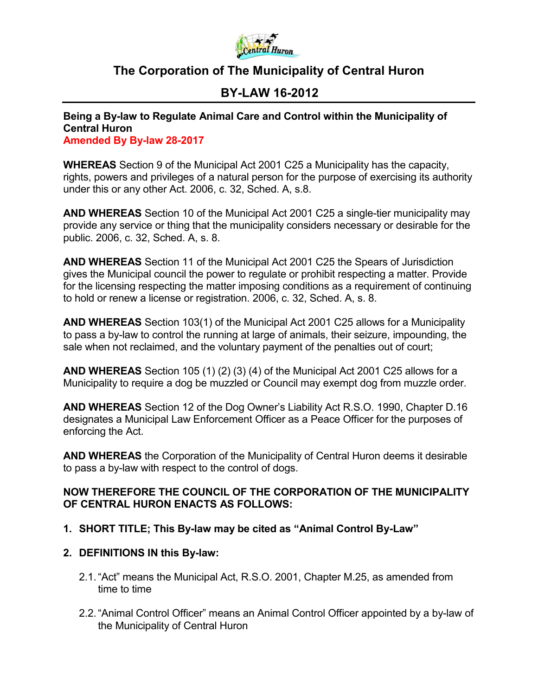

# **The Corporation of The Municipality of Central Huron**

# **BY-LAW 16-2012**

**Being a By-law to Regulate Animal Care and Control within the Municipality of Central Huron Amended By By-law 28-2017**

**WHEREAS** Section 9 of the Municipal Act 2001 C25 a Municipality has the capacity, rights, powers and privileges of a natural person for the purpose of exercising its authority under this or any other Act. 2006, c. 32, Sched. A, s.8.

**AND WHEREAS** Section 10 of the Municipal Act 2001 C25 a single-tier municipality may provide any service or thing that the municipality considers necessary or desirable for the public. 2006, c. 32, Sched. A, s. 8.

**AND WHEREAS** Section 11 of the Municipal Act 2001 C25 the Spears of Jurisdiction gives the Municipal council the power to regulate or prohibit respecting a matter. Provide for the licensing respecting the matter imposing conditions as a requirement of continuing to hold or renew a license or registration. 2006, c. 32, Sched. A, s. 8.

**AND WHEREAS** Section 103(1) of the Municipal Act 2001 C25 allows for a Municipality to pass a by-law to control the running at large of animals, their seizure, impounding, the sale when not reclaimed, and the voluntary payment of the penalties out of court;

**AND WHEREAS** Section 105 (1) (2) (3) (4) of the Municipal Act 2001 C25 allows for a Municipality to require a dog be muzzled or Council may exempt dog from muzzle order.

**AND WHEREAS** Section 12 of the Dog Owner's Liability Act R.S.O. 1990, Chapter D.16 designates a Municipal Law Enforcement Officer as a Peace Officer for the purposes of enforcing the Act.

**AND WHEREAS** the Corporation of the Municipality of Central Huron deems it desirable to pass a by-law with respect to the control of dogs.

# **NOW THEREFORE THE COUNCIL OF THE CORPORATION OF THE MUNICIPALITY OF CENTRAL HURON ENACTS AS FOLLOWS:**

- **1. SHORT TITLE; This By-law may be cited as "Animal Control By-Law"**
- **2. DEFINITIONS IN this By-law:**
	- 2.1."Act" means the Municipal Act, R.S.O. 2001, Chapter M.25, as amended from time to time
	- 2.2."Animal Control Officer" means an Animal Control Officer appointed by a by-law of the Municipality of Central Huron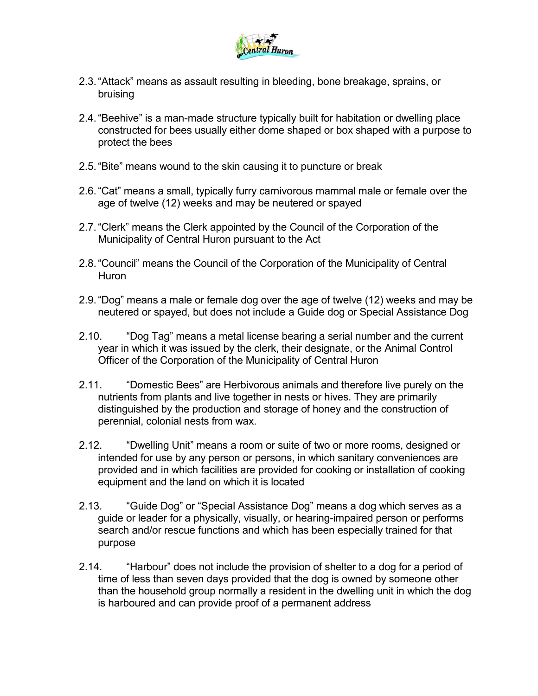

- 2.3."Attack" means as assault resulting in bleeding, bone breakage, sprains, or bruising
- 2.4."Beehive" is a man-made structure typically built for habitation or dwelling place constructed for bees usually either dome shaped or box shaped with a purpose to protect the bees
- 2.5."Bite" means wound to the skin causing it to puncture or break
- 2.6."Cat" means a small, typically furry carnivorous mammal male or female over the age of twelve (12) weeks and may be neutered or spayed
- 2.7."Clerk" means the Clerk appointed by the Council of the Corporation of the Municipality of Central Huron pursuant to the Act
- 2.8."Council" means the Council of the Corporation of the Municipality of Central **Huron**
- 2.9."Dog" means a male or female dog over the age of twelve (12) weeks and may be neutered or spayed, but does not include a Guide dog or Special Assistance Dog
- 2.10. "Dog Tag" means a metal license bearing a serial number and the current year in which it was issued by the clerk, their designate, or the Animal Control Officer of the Corporation of the Municipality of Central Huron
- 2.11. "Domestic Bees" are Herbivorous animals and therefore live purely on the nutrients from plants and live together in nests or hives. They are primarily distinguished by the production and storage of honey and the construction of perennial, colonial nests from wax.
- 2.12. "Dwelling Unit" means a room or suite of two or more rooms, designed or intended for use by any person or persons, in which sanitary conveniences are provided and in which facilities are provided for cooking or installation of cooking equipment and the land on which it is located
- 2.13. "Guide Dog" or "Special Assistance Dog" means a dog which serves as a guide or leader for a physically, visually, or hearing-impaired person or performs search and/or rescue functions and which has been especially trained for that purpose
- 2.14. "Harbour" does not include the provision of shelter to a dog for a period of time of less than seven days provided that the dog is owned by someone other than the household group normally a resident in the dwelling unit in which the dog is harboured and can provide proof of a permanent address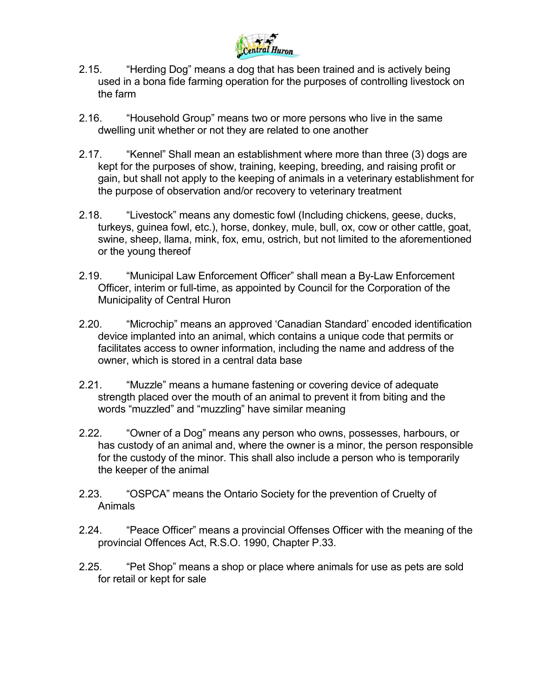

- 2.15. "Herding Dog" means a dog that has been trained and is actively being used in a bona fide farming operation for the purposes of controlling livestock on the farm
- 2.16. "Household Group" means two or more persons who live in the same dwelling unit whether or not they are related to one another
- 2.17. "Kennel" Shall mean an establishment where more than three (3) dogs are kept for the purposes of show, training, keeping, breeding, and raising profit or gain, but shall not apply to the keeping of animals in a veterinary establishment for the purpose of observation and/or recovery to veterinary treatment
- 2.18. "Livestock" means any domestic fowl (Including chickens, geese, ducks, turkeys, guinea fowl, etc.), horse, donkey, mule, bull, ox, cow or other cattle, goat, swine, sheep, llama, mink, fox, emu, ostrich, but not limited to the aforementioned or the young thereof
- 2.19. "Municipal Law Enforcement Officer" shall mean a By-Law Enforcement Officer, interim or full-time, as appointed by Council for the Corporation of the Municipality of Central Huron
- 2.20. "Microchip" means an approved 'Canadian Standard' encoded identification device implanted into an animal, which contains a unique code that permits or facilitates access to owner information, including the name and address of the owner, which is stored in a central data base
- 2.21. "Muzzle" means a humane fastening or covering device of adequate strength placed over the mouth of an animal to prevent it from biting and the words "muzzled" and "muzzling" have similar meaning
- 2.22. "Owner of a Dog" means any person who owns, possesses, harbours, or has custody of an animal and, where the owner is a minor, the person responsible for the custody of the minor. This shall also include a person who is temporarily the keeper of the animal
- 2.23. "OSPCA" means the Ontario Society for the prevention of Cruelty of Animals
- 2.24. "Peace Officer" means a provincial Offenses Officer with the meaning of the provincial Offences Act, R.S.O. 1990, Chapter P.33.
- 2.25. "Pet Shop" means a shop or place where animals for use as pets are sold for retail or kept for sale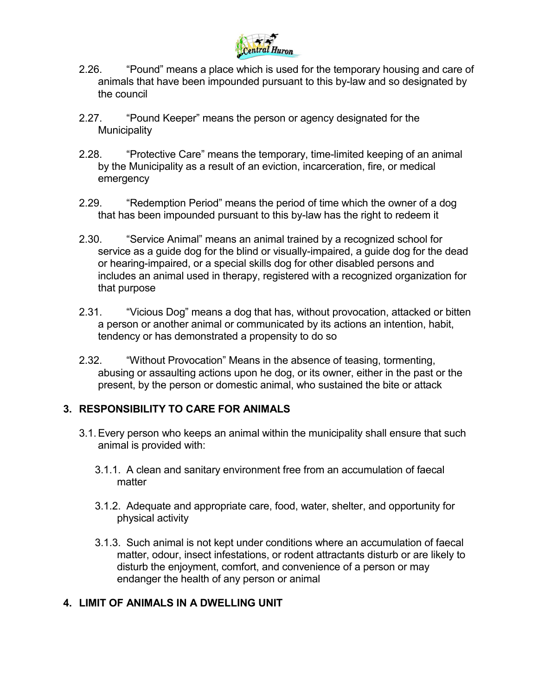

- 2.26. "Pound" means a place which is used for the temporary housing and care of animals that have been impounded pursuant to this by-law and so designated by the council
- 2.27. "Pound Keeper" means the person or agency designated for the **Municipality**
- 2.28. "Protective Care" means the temporary, time-limited keeping of an animal by the Municipality as a result of an eviction, incarceration, fire, or medical emergency
- 2.29. "Redemption Period" means the period of time which the owner of a dog that has been impounded pursuant to this by-law has the right to redeem it
- 2.30. "Service Animal" means an animal trained by a recognized school for service as a guide dog for the blind or visually-impaired, a guide dog for the dead or hearing-impaired, or a special skills dog for other disabled persons and includes an animal used in therapy, registered with a recognized organization for that purpose
- 2.31. "Vicious Dog" means a dog that has, without provocation, attacked or bitten a person or another animal or communicated by its actions an intention, habit, tendency or has demonstrated a propensity to do so
- 2.32. "Without Provocation" Means in the absence of teasing, tormenting, abusing or assaulting actions upon he dog, or its owner, either in the past or the present, by the person or domestic animal, who sustained the bite or attack

# **3. RESPONSIBILITY TO CARE FOR ANIMALS**

- 3.1.Every person who keeps an animal within the municipality shall ensure that such animal is provided with:
	- 3.1.1. A clean and sanitary environment free from an accumulation of faecal matter
	- 3.1.2. Adequate and appropriate care, food, water, shelter, and opportunity for physical activity
	- 3.1.3. Such animal is not kept under conditions where an accumulation of faecal matter, odour, insect infestations, or rodent attractants disturb or are likely to disturb the enjoyment, comfort, and convenience of a person or may endanger the health of any person or animal

# **4. LIMIT OF ANIMALS IN A DWELLING UNIT**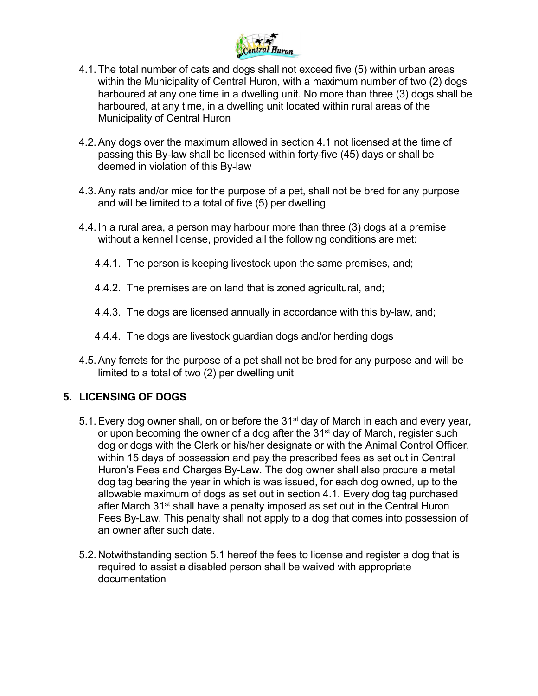

- 4.1.The total number of cats and dogs shall not exceed five (5) within urban areas within the Municipality of Central Huron, with a maximum number of two (2) dogs harboured at any one time in a dwelling unit. No more than three (3) dogs shall be harboured, at any time, in a dwelling unit located within rural areas of the Municipality of Central Huron
- 4.2.Any dogs over the maximum allowed in section 4.1 not licensed at the time of passing this By-law shall be licensed within forty-five (45) days or shall be deemed in violation of this By-law
- 4.3.Any rats and/or mice for the purpose of a pet, shall not be bred for any purpose and will be limited to a total of five (5) per dwelling
- 4.4. In a rural area, a person may harbour more than three (3) dogs at a premise without a kennel license, provided all the following conditions are met:
	- 4.4.1. The person is keeping livestock upon the same premises, and;
	- 4.4.2. The premises are on land that is zoned agricultural, and;
	- 4.4.3. The dogs are licensed annually in accordance with this by-law, and;
	- 4.4.4. The dogs are livestock guardian dogs and/or herding dogs
- 4.5.Any ferrets for the purpose of a pet shall not be bred for any purpose and will be limited to a total of two (2) per dwelling unit

# **5. LICENSING OF DOGS**

- 5.1. Every dog owner shall, on or before the 31<sup>st</sup> day of March in each and every year, or upon becoming the owner of a dog after the 31<sup>st</sup> day of March, register such dog or dogs with the Clerk or his/her designate or with the Animal Control Officer, within 15 days of possession and pay the prescribed fees as set out in Central Huron's Fees and Charges By-Law. The dog owner shall also procure a metal dog tag bearing the year in which is was issued, for each dog owned, up to the allowable maximum of dogs as set out in section 4.1. Every dog tag purchased after March 31<sup>st</sup> shall have a penalty imposed as set out in the Central Huron Fees By-Law. This penalty shall not apply to a dog that comes into possession of an owner after such date.
- 5.2. Notwithstanding section 5.1 hereof the fees to license and register a dog that is required to assist a disabled person shall be waived with appropriate documentation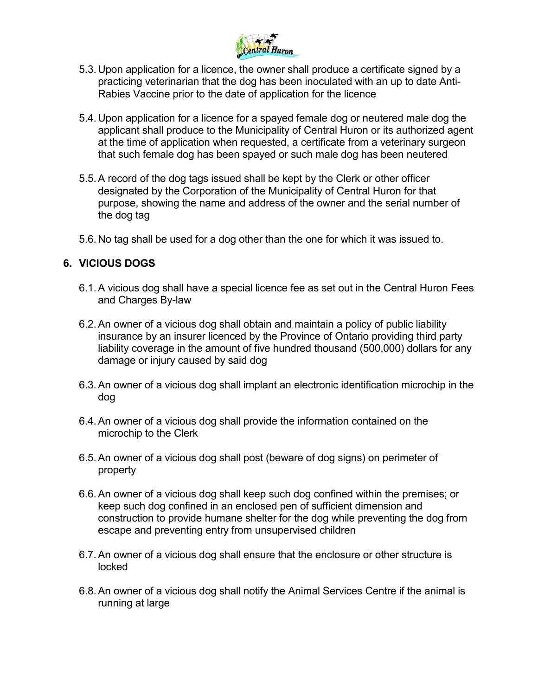

- 5.3. Upon application for a licence, the owner shall produce a certificate signed by a practicing veterinarian that the dog has been inoculated with an up to date Anti-Rabies Vaccine prior to the date of application for the licence
- 5.4. Upon application for a licence for a spayed female dog or neutered male dog the applicant shall produce to the Municipality of Central Huron or its authorized agent at the time of application when requested, a certificate from a veterinary surgeon that such female dog has been spayed or such male dog has been neutered
- 5.5.A record of the dog tags issued shall be kept by the Clerk or other officer designated by the Corporation of the Municipality of Central Huron for that purpose, showing the name and address of the owner and the serial number of the dog tag
- 5.6. No tag shall be used for a dog other than the one for which it was issued to.

#### **6. VICIOUS DOGS**

- 6.1.A vicious dog shall have a special licence fee as set out in the Central Huron Fees and Charges By-law
- 6.2.An owner of a vicious dog shall obtain and maintain a policy of public liability insurance by an insurer licenced by the Province of Ontario providing third party liability coverage in the amount of five hundred thousand (500,000) dollars for any damage or injury caused by said dog
- 6.3.An owner of a vicious dog shall implant an electronic identification microchip in the dog
- 6.4.An owner of a vicious dog shall provide the information contained on the microchip to the Clerk
- 6.5.An owner of a vicious dog shall post (beware of dog signs) on perimeter of property
- 6.6.An owner of a vicious dog shall keep such dog confined within the premises; or keep such dog confined in an enclosed pen of sufficient dimension and construction to provide humane shelter for the dog while preventing the dog from escape and preventing entry from unsupervised children
- 6.7.An owner of a vicious dog shall ensure that the enclosure or other structure is locked
- 6.8.An owner of a vicious dog shall notify the Animal Services Centre if the animal is running at large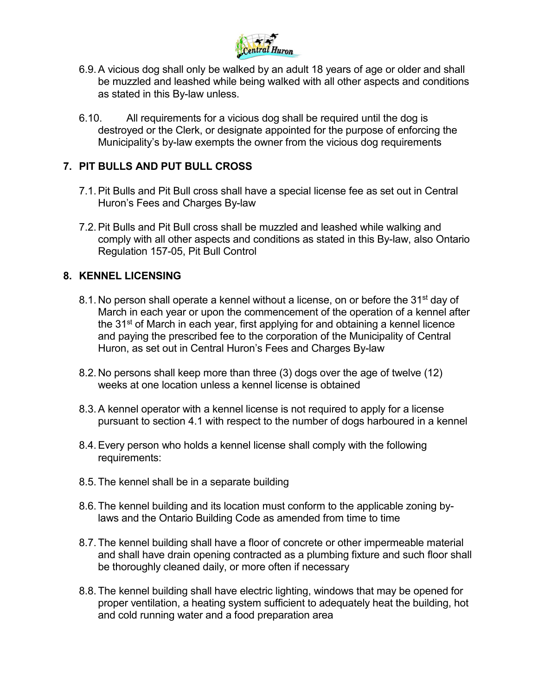

- 6.9.A vicious dog shall only be walked by an adult 18 years of age or older and shall be muzzled and leashed while being walked with all other aspects and conditions as stated in this By-law unless.
- 6.10. All requirements for a vicious dog shall be required until the dog is destroyed or the Clerk, or designate appointed for the purpose of enforcing the Municipality's by-law exempts the owner from the vicious dog requirements

# **7. PIT BULLS AND PUT BULL CROSS**

- 7.1.Pit Bulls and Pit Bull cross shall have a special license fee as set out in Central Huron's Fees and Charges By-law
- 7.2.Pit Bulls and Pit Bull cross shall be muzzled and leashed while walking and comply with all other aspects and conditions as stated in this By-law, also Ontario Regulation 157-05, Pit Bull Control

# **8. KENNEL LICENSING**

- 8.1. No person shall operate a kennel without a license, on or before the 31<sup>st</sup> day of March in each year or upon the commencement of the operation of a kennel after the 31<sup>st</sup> of March in each year, first applying for and obtaining a kennel licence and paying the prescribed fee to the corporation of the Municipality of Central Huron, as set out in Central Huron's Fees and Charges By-law
- 8.2. No persons shall keep more than three (3) dogs over the age of twelve (12) weeks at one location unless a kennel license is obtained
- 8.3.A kennel operator with a kennel license is not required to apply for a license pursuant to section 4.1 with respect to the number of dogs harboured in a kennel
- 8.4.Every person who holds a kennel license shall comply with the following requirements:
- 8.5.The kennel shall be in a separate building
- 8.6.The kennel building and its location must conform to the applicable zoning bylaws and the Ontario Building Code as amended from time to time
- 8.7.The kennel building shall have a floor of concrete or other impermeable material and shall have drain opening contracted as a plumbing fixture and such floor shall be thoroughly cleaned daily, or more often if necessary
- 8.8.The kennel building shall have electric lighting, windows that may be opened for proper ventilation, a heating system sufficient to adequately heat the building, hot and cold running water and a food preparation area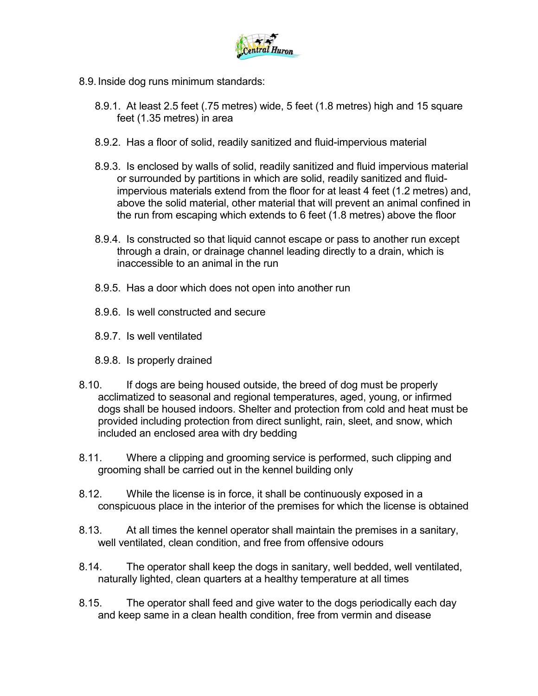

- 8.9. Inside dog runs minimum standards:
	- 8.9.1. At least 2.5 feet (.75 metres) wide, 5 feet (1.8 metres) high and 15 square feet (1.35 metres) in area
	- 8.9.2. Has a floor of solid, readily sanitized and fluid-impervious material
	- 8.9.3. Is enclosed by walls of solid, readily sanitized and fluid impervious material or surrounded by partitions in which are solid, readily sanitized and fluidimpervious materials extend from the floor for at least 4 feet (1.2 metres) and, above the solid material, other material that will prevent an animal confined in the run from escaping which extends to 6 feet (1.8 metres) above the floor
	- 8.9.4. Is constructed so that liquid cannot escape or pass to another run except through a drain, or drainage channel leading directly to a drain, which is inaccessible to an animal in the run
	- 8.9.5. Has a door which does not open into another run
	- 8.9.6. Is well constructed and secure
	- 8.9.7. Is well ventilated
	- 8.9.8. Is properly drained
- 8.10. If dogs are being housed outside, the breed of dog must be properly acclimatized to seasonal and regional temperatures, aged, young, or infirmed dogs shall be housed indoors. Shelter and protection from cold and heat must be provided including protection from direct sunlight, rain, sleet, and snow, which included an enclosed area with dry bedding
- 8.11. Where a clipping and grooming service is performed, such clipping and grooming shall be carried out in the kennel building only
- 8.12. While the license is in force, it shall be continuously exposed in a conspicuous place in the interior of the premises for which the license is obtained
- 8.13. At all times the kennel operator shall maintain the premises in a sanitary, well ventilated, clean condition, and free from offensive odours
- 8.14. The operator shall keep the dogs in sanitary, well bedded, well ventilated, naturally lighted, clean quarters at a healthy temperature at all times
- 8.15. The operator shall feed and give water to the dogs periodically each day and keep same in a clean health condition, free from vermin and disease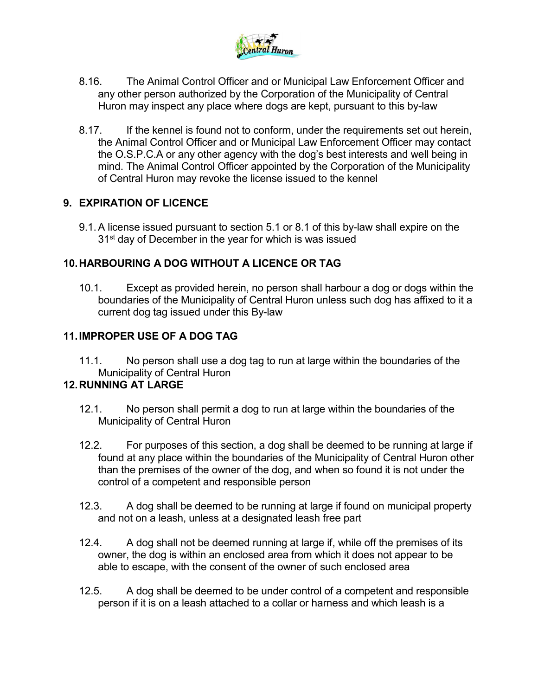

- 8.16. The Animal Control Officer and or Municipal Law Enforcement Officer and any other person authorized by the Corporation of the Municipality of Central Huron may inspect any place where dogs are kept, pursuant to this by-law
- 8.17. If the kennel is found not to conform, under the requirements set out herein, the Animal Control Officer and or Municipal Law Enforcement Officer may contact the O.S.P.C.A or any other agency with the dog's best interests and well being in mind. The Animal Control Officer appointed by the Corporation of the Municipality of Central Huron may revoke the license issued to the kennel

# **9. EXPIRATION OF LICENCE**

9.1.A license issued pursuant to section 5.1 or 8.1 of this by-law shall expire on the 31<sup>st</sup> day of December in the year for which is was issued

# **10.HARBOURING A DOG WITHOUT A LICENCE OR TAG**

10.1. Except as provided herein, no person shall harbour a dog or dogs within the boundaries of the Municipality of Central Huron unless such dog has affixed to it a current dog tag issued under this By-law

# **11.IMPROPER USE OF A DOG TAG**

11.1. No person shall use a dog tag to run at large within the boundaries of the Municipality of Central Huron

# **12.RUNNING AT LARGE**

- 12.1. No person shall permit a dog to run at large within the boundaries of the Municipality of Central Huron
- 12.2. For purposes of this section, a dog shall be deemed to be running at large if found at any place within the boundaries of the Municipality of Central Huron other than the premises of the owner of the dog, and when so found it is not under the control of a competent and responsible person
- 12.3. A dog shall be deemed to be running at large if found on municipal property and not on a leash, unless at a designated leash free part
- 12.4. A dog shall not be deemed running at large if, while off the premises of its owner, the dog is within an enclosed area from which it does not appear to be able to escape, with the consent of the owner of such enclosed area
- 12.5. A dog shall be deemed to be under control of a competent and responsible person if it is on a leash attached to a collar or harness and which leash is a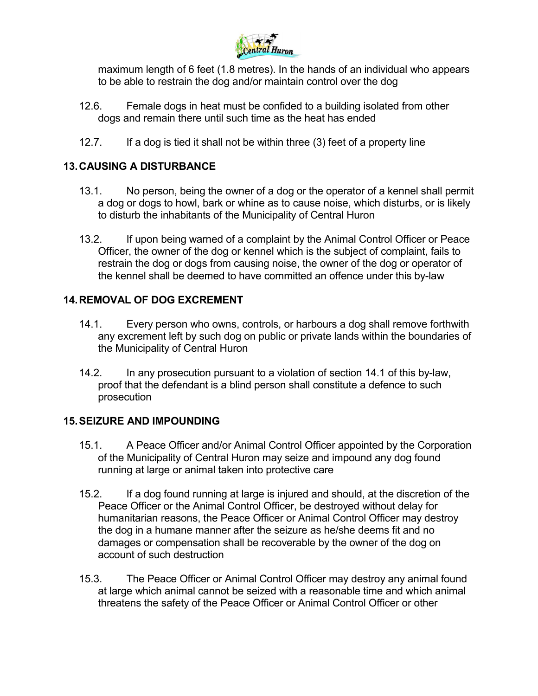

maximum length of 6 feet (1.8 metres). In the hands of an individual who appears to be able to restrain the dog and/or maintain control over the dog

- 12.6. Female dogs in heat must be confided to a building isolated from other dogs and remain there until such time as the heat has ended
- 12.7. If a dog is tied it shall not be within three (3) feet of a property line

# **13.CAUSING A DISTURBANCE**

- 13.1. No person, being the owner of a dog or the operator of a kennel shall permit a dog or dogs to howl, bark or whine as to cause noise, which disturbs, or is likely to disturb the inhabitants of the Municipality of Central Huron
- 13.2. If upon being warned of a complaint by the Animal Control Officer or Peace Officer, the owner of the dog or kennel which is the subject of complaint, fails to restrain the dog or dogs from causing noise, the owner of the dog or operator of the kennel shall be deemed to have committed an offence under this by-law

# **14.REMOVAL OF DOG EXCREMENT**

- 14.1. Every person who owns, controls, or harbours a dog shall remove forthwith any excrement left by such dog on public or private lands within the boundaries of the Municipality of Central Huron
- 14.2. In any prosecution pursuant to a violation of section 14.1 of this by-law, proof that the defendant is a blind person shall constitute a defence to such prosecution

# **15.SEIZURE AND IMPOUNDING**

- 15.1. A Peace Officer and/or Animal Control Officer appointed by the Corporation of the Municipality of Central Huron may seize and impound any dog found running at large or animal taken into protective care
- 15.2. If a dog found running at large is injured and should, at the discretion of the Peace Officer or the Animal Control Officer, be destroyed without delay for humanitarian reasons, the Peace Officer or Animal Control Officer may destroy the dog in a humane manner after the seizure as he/she deems fit and no damages or compensation shall be recoverable by the owner of the dog on account of such destruction
- 15.3. The Peace Officer or Animal Control Officer may destroy any animal found at large which animal cannot be seized with a reasonable time and which animal threatens the safety of the Peace Officer or Animal Control Officer or other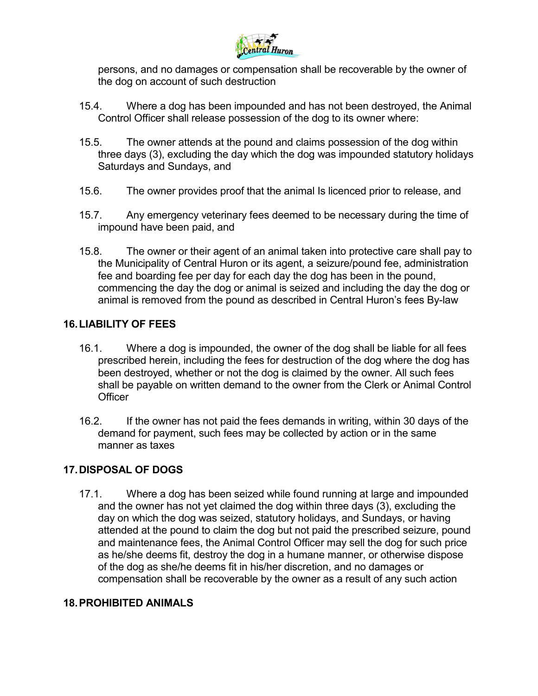

persons, and no damages or compensation shall be recoverable by the owner of the dog on account of such destruction

- 15.4. Where a dog has been impounded and has not been destroyed, the Animal Control Officer shall release possession of the dog to its owner where:
- 15.5. The owner attends at the pound and claims possession of the dog within three days (3), excluding the day which the dog was impounded statutory holidays Saturdays and Sundays, and
- 15.6. The owner provides proof that the animal Is licenced prior to release, and
- 15.7. Any emergency veterinary fees deemed to be necessary during the time of impound have been paid, and
- 15.8. The owner or their agent of an animal taken into protective care shall pay to the Municipality of Central Huron or its agent, a seizure/pound fee, administration fee and boarding fee per day for each day the dog has been in the pound, commencing the day the dog or animal is seized and including the day the dog or animal is removed from the pound as described in Central Huron's fees By-law

#### **16.LIABILITY OF FEES**

- 16.1. Where a dog is impounded, the owner of the dog shall be liable for all fees prescribed herein, including the fees for destruction of the dog where the dog has been destroyed, whether or not the dog is claimed by the owner. All such fees shall be payable on written demand to the owner from the Clerk or Animal Control **Officer**
- 16.2. If the owner has not paid the fees demands in writing, within 30 days of the demand for payment, such fees may be collected by action or in the same manner as taxes

# **17.DISPOSAL OF DOGS**

17.1. Where a dog has been seized while found running at large and impounded and the owner has not yet claimed the dog within three days (3), excluding the day on which the dog was seized, statutory holidays, and Sundays, or having attended at the pound to claim the dog but not paid the prescribed seizure, pound and maintenance fees, the Animal Control Officer may sell the dog for such price as he/she deems fit, destroy the dog in a humane manner, or otherwise dispose of the dog as she/he deems fit in his/her discretion, and no damages or compensation shall be recoverable by the owner as a result of any such action

#### **18.PROHIBITED ANIMALS**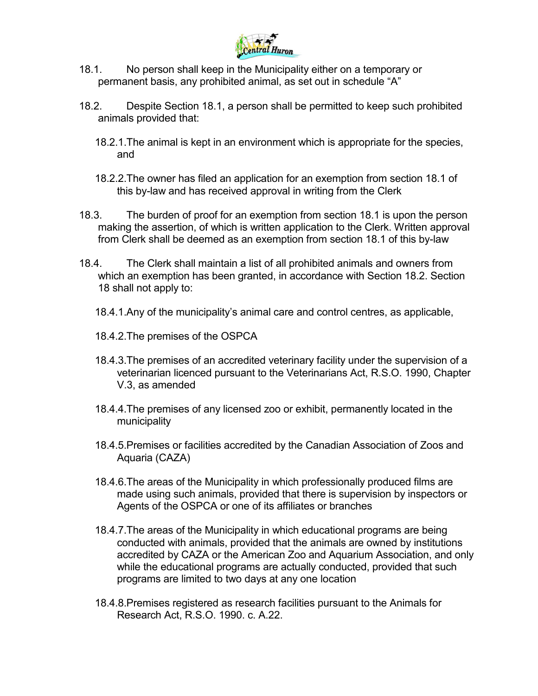

- 18.1. No person shall keep in the Municipality either on a temporary or permanent basis, any prohibited animal, as set out in schedule "A"
- 18.2. Despite Section 18.1, a person shall be permitted to keep such prohibited animals provided that:
	- 18.2.1.The animal is kept in an environment which is appropriate for the species, and
	- 18.2.2.The owner has filed an application for an exemption from section 18.1 of this by-law and has received approval in writing from the Clerk
- 18.3. The burden of proof for an exemption from section 18.1 is upon the person making the assertion, of which is written application to the Clerk. Written approval from Clerk shall be deemed as an exemption from section 18.1 of this by-law
- 18.4. The Clerk shall maintain a list of all prohibited animals and owners from which an exemption has been granted, in accordance with Section 18.2. Section 18 shall not apply to:
	- 18.4.1.Any of the municipality's animal care and control centres, as applicable,
	- 18.4.2.The premises of the OSPCA
	- 18.4.3.The premises of an accredited veterinary facility under the supervision of a veterinarian licenced pursuant to the Veterinarians Act, R.S.O. 1990, Chapter V.3, as amended
	- 18.4.4.The premises of any licensed zoo or exhibit, permanently located in the municipality
	- 18.4.5.Premises or facilities accredited by the Canadian Association of Zoos and Aquaria (CAZA)
	- 18.4.6.The areas of the Municipality in which professionally produced films are made using such animals, provided that there is supervision by inspectors or Agents of the OSPCA or one of its affiliates or branches
	- 18.4.7.The areas of the Municipality in which educational programs are being conducted with animals, provided that the animals are owned by institutions accredited by CAZA or the American Zoo and Aquarium Association, and only while the educational programs are actually conducted, provided that such programs are limited to two days at any one location
	- 18.4.8.Premises registered as research facilities pursuant to the Animals for Research Act, R.S.O. 1990. c. A.22.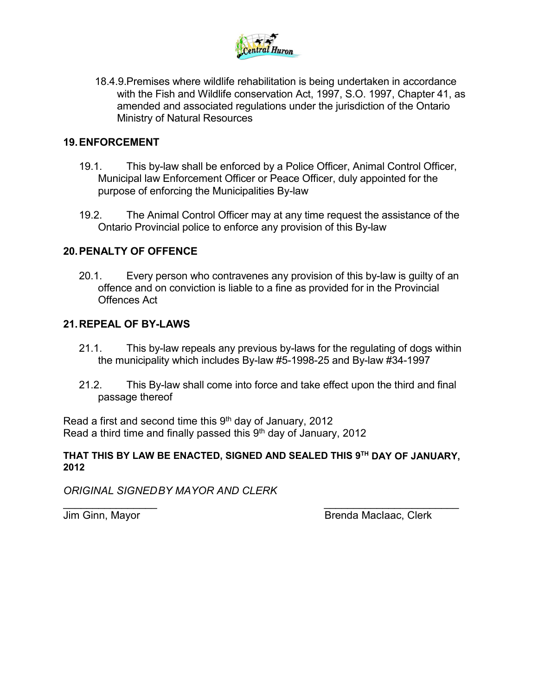

18.4.9.Premises where wildlife rehabilitation is being undertaken in accordance with the Fish and Wildlife conservation Act, 1997, S.O. 1997, Chapter 41, as amended and associated regulations under the jurisdiction of the Ontario Ministry of Natural Resources

# **19.ENFORCEMENT**

- 19.1. This by-law shall be enforced by a Police Officer, Animal Control Officer, Municipal law Enforcement Officer or Peace Officer, duly appointed for the purpose of enforcing the Municipalities By-law
- 19.2. The Animal Control Officer may at any time request the assistance of the Ontario Provincial police to enforce any provision of this By-law

# **20.PENALTY OF OFFENCE**

20.1. Every person who contravenes any provision of this by-law is guilty of an offence and on conviction is liable to a fine as provided for in the Provincial Offences Act

#### **21.REPEAL OF BY-LAWS**

- 21.1. This by-law repeals any previous by-laws for the regulating of dogs within the municipality which includes By-law #5-1998-25 and By-law #34-1997
- 21.2. This By-law shall come into force and take effect upon the third and final passage thereof

Read a first and second time this  $9<sup>th</sup>$  day of January, 2012 Read a third time and finally passed this  $9<sup>th</sup>$  day of January, 2012

#### **THAT THIS BY LAW BE ENACTED, SIGNED AND SEALED THIS 9TH DAY OF JANUARY, 2012**

*ORIGINAL SIGNEDBY MAYOR AND CLERK*

 $\overline{\phantom{a}}$  , and the contract of the contract of the contract of the contract of the contract of the contract of the contract of the contract of the contract of the contract of the contract of the contract of the contrac Jim Ginn, Mayor **Brenda MacIaac, Clerk**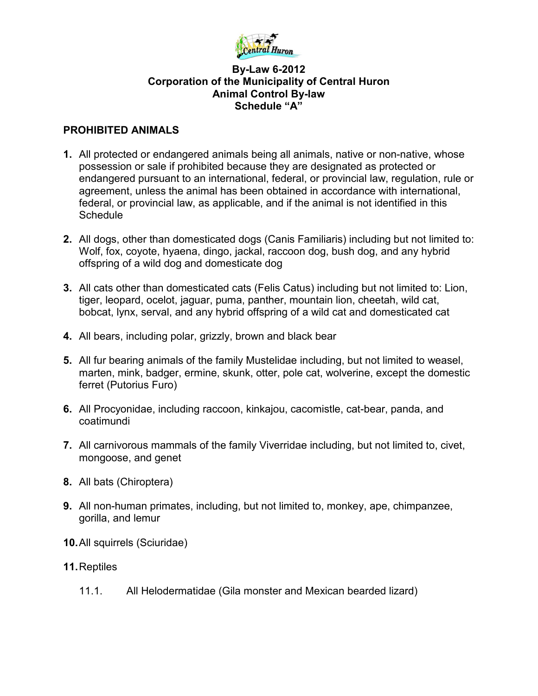

#### **By-Law 6-2012 Corporation of the Municipality of Central Huron Animal Control By-law Schedule "A"**

#### **PROHIBITED ANIMALS**

- **1.** All protected or endangered animals being all animals, native or non-native, whose possession or sale if prohibited because they are designated as protected or endangered pursuant to an international, federal, or provincial law, regulation, rule or agreement, unless the animal has been obtained in accordance with international, federal, or provincial law, as applicable, and if the animal is not identified in this **Schedule**
- **2.** All dogs, other than domesticated dogs (Canis Familiaris) including but not limited to: Wolf, fox, coyote, hyaena, dingo, jackal, raccoon dog, bush dog, and any hybrid offspring of a wild dog and domesticate dog
- **3.** All cats other than domesticated cats (Felis Catus) including but not limited to: Lion, tiger, leopard, ocelot, jaguar, puma, panther, mountain lion, cheetah, wild cat, bobcat, lynx, serval, and any hybrid offspring of a wild cat and domesticated cat
- **4.** All bears, including polar, grizzly, brown and black bear
- **5.** All fur bearing animals of the family Mustelidae including, but not limited to weasel, marten, mink, badger, ermine, skunk, otter, pole cat, wolverine, except the domestic ferret (Putorius Furo)
- **6.** All Procyonidae, including raccoon, kinkajou, cacomistle, cat-bear, panda, and coatimundi
- **7.** All carnivorous mammals of the family Viverridae including, but not limited to, civet, mongoose, and genet
- **8.** All bats (Chiroptera)
- **9.** All non-human primates, including, but not limited to, monkey, ape, chimpanzee, gorilla, and lemur
- **10.**All squirrels (Sciuridae)
- **11.**Reptiles
	- 11.1. All Helodermatidae (Gila monster and Mexican bearded lizard)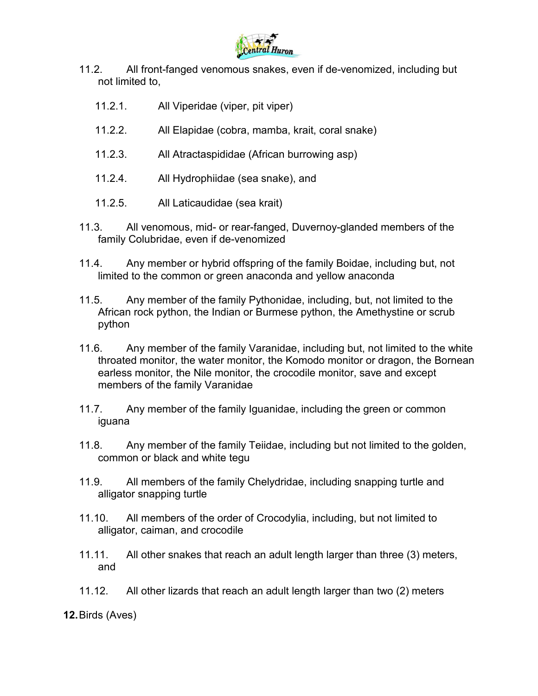

- 11.2. All front-fanged venomous snakes, even if de-venomized, including but not limited to,
	- 11.2.1. All Viperidae (viper, pit viper)
	- 11.2.2. All Elapidae (cobra, mamba, krait, coral snake)
	- 11.2.3. All Atractaspididae (African burrowing asp)
	- 11.2.4. All Hydrophiidae (sea snake), and
	- 11.2.5. All Laticaudidae (sea krait)
- 11.3. All venomous, mid- or rear-fanged, Duvernoy-glanded members of the family Colubridae, even if de-venomized
- 11.4. Any member or hybrid offspring of the family Boidae, including but, not limited to the common or green anaconda and yellow anaconda
- 11.5. Any member of the family Pythonidae, including, but, not limited to the African rock python, the Indian or Burmese python, the Amethystine or scrub python
- 11.6. Any member of the family Varanidae, including but, not limited to the white throated monitor, the water monitor, the Komodo monitor or dragon, the Bornean earless monitor, the Nile monitor, the crocodile monitor, save and except members of the family Varanidae
- 11.7. Any member of the family Iguanidae, including the green or common iguana
- 11.8. Any member of the family Teiidae, including but not limited to the golden, common or black and white tegu
- 11.9. All members of the family Chelydridae, including snapping turtle and alligator snapping turtle
- 11.10. All members of the order of Crocodylia, including, but not limited to alligator, caiman, and crocodile
- 11.11. All other snakes that reach an adult length larger than three (3) meters, and
- 11.12. All other lizards that reach an adult length larger than two (2) meters

**12.**Birds (Aves)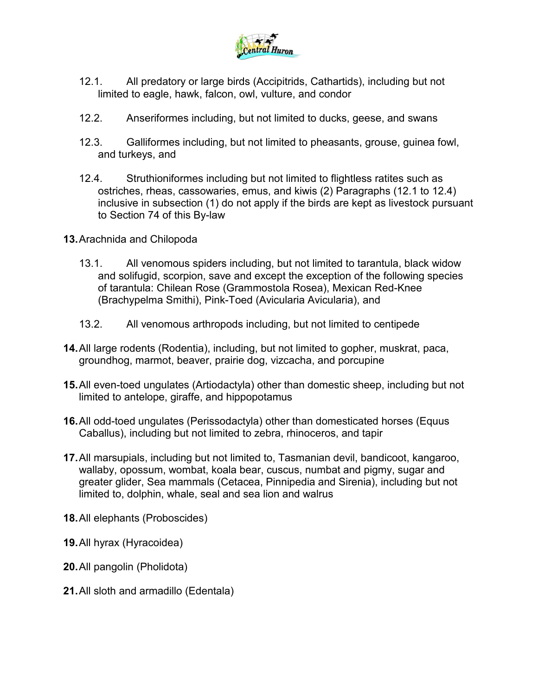

- 12.1. All predatory or large birds (Accipitrids, Cathartids), including but not limited to eagle, hawk, falcon, owl, vulture, and condor
- 12.2. Anseriformes including, but not limited to ducks, geese, and swans
- 12.3. Galliformes including, but not limited to pheasants, grouse, guinea fowl, and turkeys, and
- 12.4. Struthioniformes including but not limited to flightless ratites such as ostriches, rheas, cassowaries, emus, and kiwis (2) Paragraphs (12.1 to 12.4) inclusive in subsection (1) do not apply if the birds are kept as livestock pursuant to Section 74 of this By-law
- **13.**Arachnida and Chilopoda
	- 13.1. All venomous spiders including, but not limited to tarantula, black widow and solifugid, scorpion, save and except the exception of the following species of tarantula: Chilean Rose (Grammostola Rosea), Mexican Red-Knee (Brachypelma Smithi), Pink-Toed (Avicularia Avicularia), and
	- 13.2. All venomous arthropods including, but not limited to centipede
- **14.**All large rodents (Rodentia), including, but not limited to gopher, muskrat, paca, groundhog, marmot, beaver, prairie dog, vizcacha, and porcupine
- **15.**All even-toed ungulates (Artiodactyla) other than domestic sheep, including but not limited to antelope, giraffe, and hippopotamus
- **16.**All odd-toed ungulates (Perissodactyla) other than domesticated horses (Equus Caballus), including but not limited to zebra, rhinoceros, and tapir
- **17.**All marsupials, including but not limited to, Tasmanian devil, bandicoot, kangaroo, wallaby, opossum, wombat, koala bear, cuscus, numbat and pigmy, sugar and greater glider, Sea mammals (Cetacea, Pinnipedia and Sirenia), including but not limited to, dolphin, whale, seal and sea lion and walrus
- **18.**All elephants (Proboscides)
- **19.**All hyrax (Hyracoidea)
- **20.**All pangolin (Pholidota)
- **21.**All sloth and armadillo (Edentala)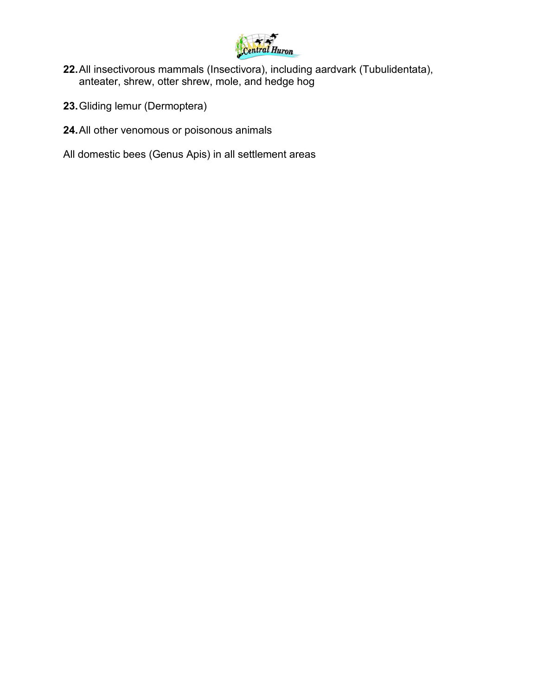

- **22.**All insectivorous mammals (Insectivora), including aardvark (Tubulidentata), anteater, shrew, otter shrew, mole, and hedge hog
- **23.**Gliding lemur (Dermoptera)
- **24.**All other venomous or poisonous animals
- All domestic bees (Genus Apis) in all settlement areas